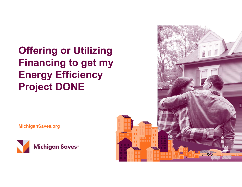## Offering or Utilizing Financing to get my Energy Efficiency Project DONE

MichiganSaves.org



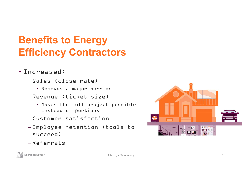## Benefits to Energy Efficiency Contractors

- Increased:
	- Sales (close rate)
		- Removes a major barrier
	- Revenue (ticket size)
		- Makes the full project possible instead of portions
	- Customer satisfaction
	- Employee retention (tools to succeed)
- **Exploration**

– Referrals

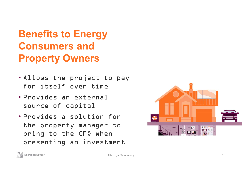## Benefits to Energy Consumers and Property Owners

- Allows the project to pay for itself over time
- Provides an external source of capital
- Provides a solution for the property manager to bring to the CFO when presenting an investment



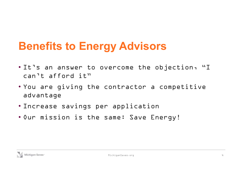## Benefits to Energy Advisors

- It's an answer to overcome the objection, "I can't afford it"
- You are giving the contractor a competitive advantage
- Increase savings per application
- Our mission is the same: Save Energy!

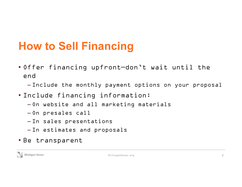## How to Sell Financing

• Offer financing upfront—don't wait until the end

– Include the monthly payment options on your proposal

- Include financing information:
	- On website and all marketing materials
	- On presales call
	- In sales presentations
	- In estimates and proposals
- Be transparent

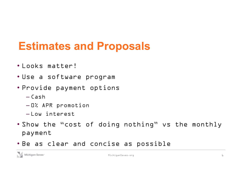## Estimates and Proposals

- Looks matter!
- Use a software program
- Provide payment options
	- $-Cash$
	- 0% APR promotion
	- Low interest
- Show the "cost of doing nothing" vs the monthly payment
- Be as clear and concise as possible

Michigan Saves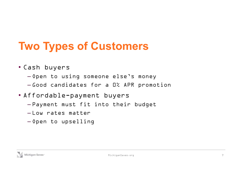# Two Types of Customers

- Cash buyers
	- Open to using someone else's money
	- Good candidates for a 0% APR promotion
- Affordable-payment buyers
	- Payment must fit into their budget
	- $-$ Low rates matter
	- Open to upselling

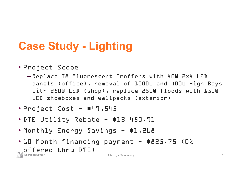# Case Study - Lighting<br>Case Study - Lighting

- Project Scope
- Replace T8 Fluorescent Troffers with 40W 2x4 LED panels (office), removal of 1000W and 400W High Bays with 250W LED (shop), replace 250W floods with 150W LED shoeboxes and wallpacks (exterior) **Case Study - Lighting**<br>• Project Scope<br>
- Replace T& Fluorescent Troffers with 40W 2:<br>
panels (office), removal of 1000W and 400W<br>
with 250W LED (shop), replace 250W floods<br>
LED shoeboxes and wallpacks (exterior)<br>• Projec Case Study - Lighting<br>
• Project Scope<br>
- Replace T& Fluorescent Troffers with 40W 2x4 LED<br>
panels (office), removal of 1000W and 400W High B.<br>
with 250W LED (shop), replace 250W floods with 151<br>
LED shoeboxes and wallpack • Project Scope<br>• Replace T& Fluorescent Troffers with 40W 2x4 LED<br>panels (office), removal of 1000W and 400W High Bays<br>with 250W LED (shop), replace 250W floods with 150W<br>LED shoeboxes and wallpacks (exterior)<br>• Project C • Project Scope<br>
-Replace Tå Fluorescent Troffers with 40W 2x4 LED<br>
panels (office), removal of 1000W and 400W High Bays<br>
with 250W LED (shop), replace 250W floods with 150W<br>
LED shoeboxes and wallpacks (exterior)<br>• Projec
- 
- 
- 
- 

offered thru DTE)<br>Michigan Saves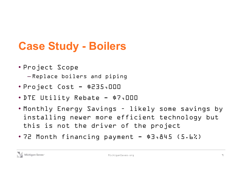# Case Study - Boilers<br>Case Study - Boilers Case Study - Boilers<br>• Project Scope<br>• Project Cost - \$235,000<br>• Project Cost - \$235,000<br>• DTE Utility Rebate - \$7,000

• Project Scope

– Replace boilers and piping

- 
- 
- Case Study Boilers<br>
 Project Scope<br>
 Replace boilers and piping<br>
 Project Cost \$235,000<br>
 DTE Utility Rebate \$7,000<br>
 Monthly Energy Savings likely some savings<br>
installing nouse pape officient technology by **Case Study - Boilers**<br>• Project Scope<br>• Replace boilers and piping<br>• Project Cost - \$235.000<br>• DTE Utility Rebate - \$7.000<br>• Monthly Energy Savings - likely some savings by<br>installing newer more efficient technology but<br>t installing newer more efficient technology but this is not the driver of the project • Project Scope<br>• 7eplace boilers and piping<br>• 7FE Utility Rebate - \$7,000<br>• Monthly Energy Savings - likely some savings by<br>installing newer more efficient technology but<br>this is not the driver of the project<br>• 72 Month f
- 

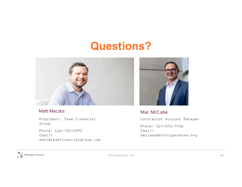## Questions?



### Matt Maczka

President, Team Financial Group

Phone: 616-735-2393 Email: matt@teamfinancialgroup.com



Mac McCabe Contractor Account Manager Phone: 517-371-7456 Email: mmccabe@michigansaves.org